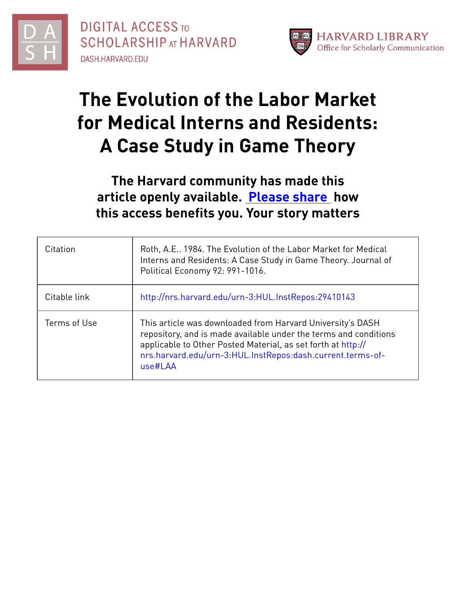



# **The Evolution of the Labor Market for Medical Interns and Residents: A Case Study in Game Theory**

**The Harvard community has made this article openly available. [Please](http://osc.hul.harvard.edu/dash/open-access-feedback?handle=&title=The%20Evolution%20of%20the%20Labor%20Market%20for%20Medical%20Interns%20and%20Residents:%20A%20Case%20Study%20in%20Game%20Theory&community=1/1&collection=1/2&owningCollection1/2&harvardAuthors=0451322e4f90c20fd79841bd45fa10c3&departmentEconomics) share how this access benefits you. Your story matters**

| Citation     | Roth, A.E., 1984. The Evolution of the Labor Market for Medical<br>Interns and Residents: A Case Study in Game Theory. Journal of<br>Political Economy 92: 991-1016.                                                                                                    |
|--------------|-------------------------------------------------------------------------------------------------------------------------------------------------------------------------------------------------------------------------------------------------------------------------|
| Citable link | http://nrs.harvard.edu/urn-3:HUL.InstRepos:29410143                                                                                                                                                                                                                     |
| Terms of Use | This article was downloaded from Harvard University's DASH<br>repository, and is made available under the terms and conditions<br>applicable to Other Posted Material, as set forth at http://<br>nrs.harvard.edu/urn-3:HUL.InstRepos:dash.current.terms-of-<br>use#LAA |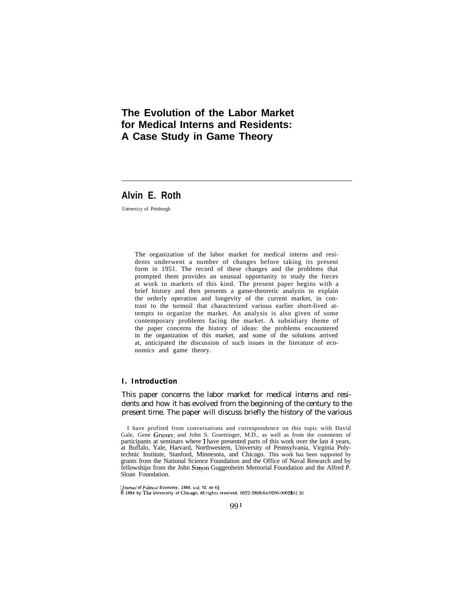# **The Evolution of the Labor Market for Medical Interns and Residents: A Case Study in Game Theory**

# **Alvin E. Roth**

University of Pittsburgh

The organization of the labor market for medical interns and residents underwent a number of changes before taking its present form in 1951. The record of these changes and the problems that prompted them provides an unusual opportunity to study the forces at work in markets of this kind. The present paper begins with a brief history and then presents a game-theoretic analysis to explain the orderly operation and longevity of the current market, in contrast to the turmoil that characterized various earlier short-lived attempts to organize the market. An analysis is also given of some contemporary problems facing the market. A subsidiary theme of the paper concerns the history of ideas: the problems encountered in the organization of this market, and some of the solutions arrived at, anticipated the discussion of such issues in the literature of economics and game theory.

## **I. Introduction**

This paper concerns the labor market for medical interns and residents and how it has evolved from the beginning of the century to the present time. The paper will discuss briefly the history of the various

*Iournal of Political Economy, 1984, vol. Y2. no 61* **@ 1984 by The University of Chicago. All qhts reserved. 0022.3808/8419206-0002\$01.50**

I have profited from conversations and correspondence on this topic with David Gale, Gene Gruver, and John S. Graettinger, M.D., as well as from the comments of participants at seminars where 1 have presented parts of this work over the last 4 years, at Buffalo, Yale, Harvard, Northwestern, University of Pennsylvania, Virginia Polytechnic Institute, Stanford, Minnesota, and Chicago. This work has been supported by grants from the National Science Foundation and the Office of Naval Research and by fellowships from the John Simon Guggenheim Memorial Foundation and the Alfred P. Sloan Foundation.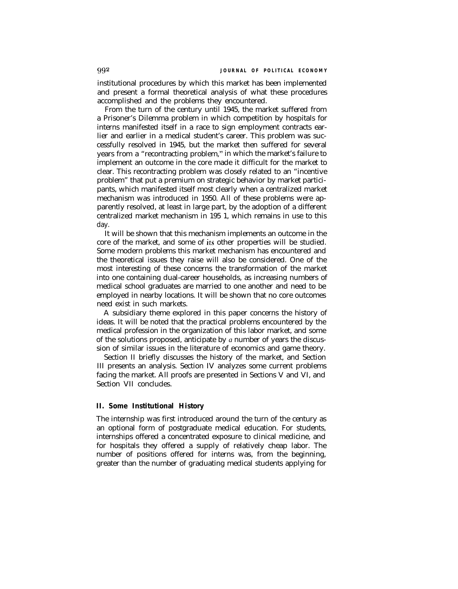institutional procedures by which this market has been implemented and present a formal theoretical analysis of what these procedures accomplished and the problems they encountered.

From the turn of the century until 1945, the market suffered from a Prisoner's Dilemma problem in which competition by hospitals for interns manifested itself in a race to sign employment contracts earlier and earlier in a medical student's career. This problem was successfully resolved in 1945, but the market then suffered for several years from a "recontracting problem, " in which the market's failure to implement an outcome in the core made it difficult for the market to clear. This recontracting problem was closely related to an "incentive problem" that put a premium on strategic behavior by market participants, which manifested itself most clearly when a centralized market mechanism was introduced in 1950. All of these problems were apparently resolved, at least in large part, by the adoption of a different centralized market mechanism in 195 1, which remains in use to this day.

It will be shown that this mechanism implements an outcome in the core of the market, and some of its other properties will be studied. Some modern problems this market mechanism has encountered and the theoretical issues they raise will also be considered. One of the most interesting of these concerns the transformation of the market into one containing dual-career households, as increasing numbers of medical school graduates are married to one another and need to be employed in nearby locations. It will be shown that no core outcomes need exist in such markets.

A subsidiary theme explored in this paper concerns the history of ideas. It will be noted that the practical problems encountered by the medical profession in the organization of this labor market, and some of the solutions proposed, anticipate by *a* number of years the discussion of similar issues in the literature of economics and game theory.

Section II briefly discusses the history of the market, and Section III presents an analysis. Section IV analyzes some current problems facing the market. All proofs are presented in Sections V and VI, and Section VII concludes.

## **II. Some Institutional History**

The internship was first introduced around the turn of the century as an optional form of postgraduate medical education. For students, internships offered a concentrated exposure to clinical medicine, and for hospitals they offered a supply of relatively cheap labor. The number of positions offered for interns was, from the beginning, greater than the number of graduating medical students applying for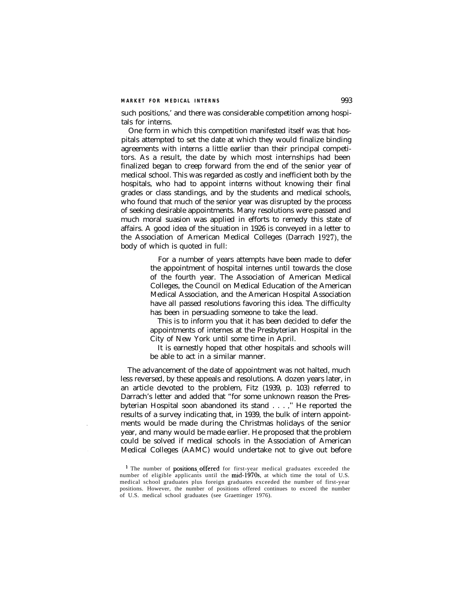such positions,' and there was considerable competition among hospitals for interns.

One form in which this competition manifested itself was that hospitals attempted to set the date at which they would finalize binding agreements with interns a little earlier than their principal competitors. As a result, the date by which most internships had been finalized began to creep forward from the end of the senior year of medical school. This was regarded as costly and inefficient both by the hospitals, who had to appoint interns without knowing their final grades or class standings, and by the students and medical schools, who found that much of the senior year was disrupted by the process of seeking desirable appointments. Many resolutions were passed and much moral suasion was applied in efforts to remedy this state of affairs. A good idea of the situation in 1926 is conveyed in a letter to the Association of American Medical Colleges (Darrach 1927), the body of which is quoted in full:

> For a number of years attempts have been made to defer the appointment of hospital internes until towards the close of the fourth year. The Association of American Medical Colleges, the Council on Medical Education of the American Medical Association, and the American Hospital Association have all passed resolutions favoring this idea. The difficulty has been in persuading someone to take the lead.

> This is to inform you that it has been decided to defer the appointments of internes at the Presbyterian Hospital in the City of New York until some time in April.

> It is earnestly hoped that other hospitals and schools will be able to act in a similar manner.

The advancement of the date of appointment was not halted, much less reversed, by these appeals and resolutions. A dozen years later, in an article devoted to the problem, Fitz (1939, p. 103) referred to Darrach's letter and added that "for some unknown reason the Presbyterian Hospital soon abandoned its stand . . . ." He reported the results of a survey indicating that, in 1939, the bulk of intern appointments would be made during the Christmas holidays of the senior year, and many would be made earlier. He proposed that the problem could be solved if medical schools in the Association of American Medical Colleges (AAMC) would undertake not to give out before

<sup>&</sup>lt;sup>1</sup> The number of positions offered for first-year medical graduates exceeded the number of eligible applicants until the mid-1970s, at which time the total of U.S. medical school graduates plus foreign graduates exceeded the number of first-year positions. However, the number of positions offered continues to exceed the number of U.S. medical school graduates (see Graettinger 1976).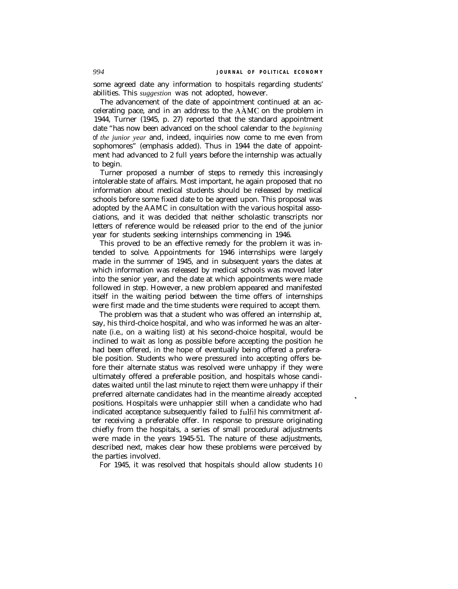some agreed date any information to hospitals regarding students' abilities. This *suggestion* was not adopted, however.

The advancement of the date of appointment continued at an accelerating pace, and in an address to the AAMC on the problem in 1944, Turner (1945, p. 27) reported that the standard appointment date "has now been advanced on the school calendar to the *beginning of the junior year* and, indeed, inquiries now come to me even from sophomores" (emphasis added). Thus in 1944 the date of appointment had advanced to 2 full years before the internship was actually to begin.

Turner proposed a number of steps to remedy this increasingly intolerable state of affairs. Most important, he again proposed that no information about medical students should be released by medical schools before some fixed date to be agreed upon. This proposal was adopted by the AAMC in consultation with the various hospital associations, and it was decided that neither scholastic transcripts nor letters of reference would be released prior to the end of the junior year for students seeking internships commencing in 1946.

This proved to be an effective remedy for the problem it was intended to solve. Appointments for 1946 internships were largely made in the summer of 1945, and in subsequent years the dates at which information was released by medical schools was moved later into the senior year, and the date at which appointments were made followed in step. However, a new problem appeared and manifested itself in the waiting period between the time offers of internships were first made and the time students were required to accept them.

The problem was that a student who was offered an internship at, say, his third-choice hospital, and who was informed he was an alternate (i.e., on a waiting list) at his second-choice hospital, would be inclined to wait as long as possible before accepting the position he had been offered, in the hope of eventually being offered a preferable position. Students who were pressured into accepting offers before their alternate status was resolved were unhappy if they were ultimately offered a preferable position, and hospitals whose candidates waited until the last minute to reject them were unhappy if their preferred alternate candidates had in the meantime already accepted positions. Hospitals were unhappier still when a candidate who had indicated acceptance subsequently failed to fulfil his commitment after receiving a preferable offer. In response to pressure originating chiefly from the hospitals, a series of small procedural adjustments were made in the years 1945-51. The nature of these adjustments, described next, makes clear how these problems were perceived by the parties involved.

For 1945, it was resolved that hospitals should allow students 10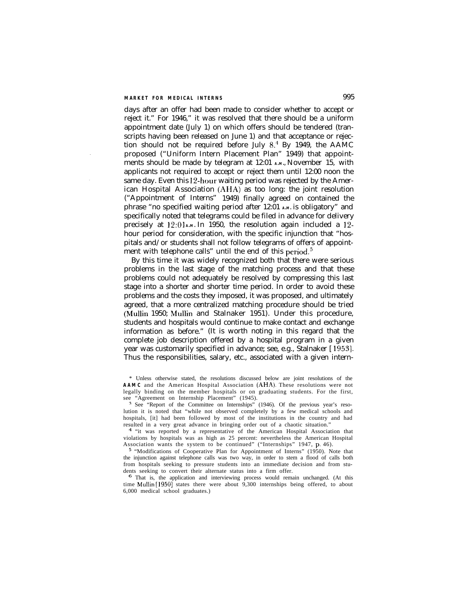days after an offer had been made to consider whether to accept or reject it." For 1946," it was resolved that there should be a uniform appointment date (July 1) on which offers should be tendered (transcripts having been released on June 1) and that acceptance or rejection should not be required before July  $8<sup>4</sup>$  By 1949, the AAMC proposed ("Uniform Intern Placement Plan" 1949) that appointments should be made by telegram at 12:01 A.M., November 15, with applicants not required to accept or reject them until 12:00 noon the same day. Even this 12-hour waiting period was rejected by the American Hospital Association (AHA) as too long: the joint resolution ("Appointment of Interns" 1949) finally agreed on contained the phrase "no specified waiting period after 12:01 **A.M.** is obligatory" and specifically noted that telegrams could be filed in advance for delivery precisely at  $12:01$  A<sub>b</sub>. In 1950, the resolution again included a  $12$ hour period for consideration, with the specific injunction that "hospitals and/or students shall not follow telegrams of offers of appointment with telephone calls" until the end of this period.<sup>5</sup>

By this time it was widely recognized both that there were serious problems in the last stage of the matching process and that these problems could not adequately be resolved by compressing this last stage into a shorter and shorter time period. In order to avoid these problems and the costs they imposed, it was proposed, and ultimately agreed, that a more centralized matching procedure should be tried (Mullin 1950; Mullin and Stalnaker 1951). Under this procedure, students and hospitals would continue to make contact and exchange information as before." (It is worth noting in this regard that the complete job description offered by a hospital program in a given year was customarily specified in advance; see, e.g., Stalnaker [ 19531. Thus the responsibilities, salary, etc., associated with a given intern-

<sup>4</sup> "it was reported by a representative of the American Hospital Association that violations by hospitals was as high as 25 percent: nevertheless the American Hospital Association wants the system to be continued" ("Internships" 1947, p. 46).

<sup>5</sup> "Modifications of Cooperative Plan for Appointment of Interns" (1950). Note that the injunction against telephone calls was two way, in order to stem a flood of calls both from hospitals seeking to pressure students into an immediate decision and from students seeking to convert their alternate status into a firm offer.

<sup>6</sup> That is, the application and interviewing process would remain unchanged. (At this time Mullin [1950] states there were about 9,300 internships being offered, to about 6,000 medical school graduates.)

<sup>\*</sup> Unless otherwise stated, the resolutions discussed below are joint resolutions of the **AAMC** and the American Hospital Association (AHA). These resolutions were not legally binding on the member hospitals or on graduating students. For the first, see "Agreement on Internship Placement" (1945).

<sup>&</sup>lt;sup>3</sup> See "Report of the Committee on Internships" (1946). Of the previous year's resolution it is noted that "while not observed completely by a few medical schools and hospitals, [it] had been followed by most of the institutions in the country and had resulted in a very great advance in bringing order out of a chaotic situation."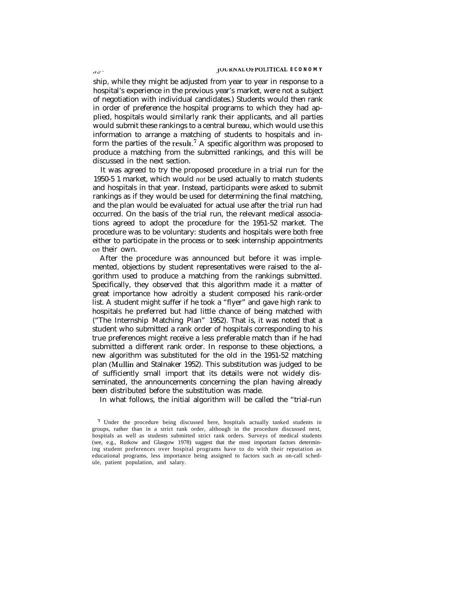ship, while they might be adjusted from year to year in response to a hospital's experience in the previous year's market, were not a subject of negotiation with individual candidates.) Students would then rank in order of preference the hospital programs to which they had applied, hospitals would similarly rank their applicants, and all parties would submit these rankings to a central bureau, which would use this information to arrange a matching of students to hospitals and inform the parties of the result.<sup>7</sup> A specific algorithm was proposed to produce a matching from the submitted rankings, and this will be discussed in the next section.

It was agreed to try the proposed procedure in a trial run for the 1950-5 1 market, which would *not* be used actually to match students and hospitals in that year. Instead, participants were asked to submit rankings as if they would be used for determining the final matching, and the plan would be evaluated for actual use after the trial run had occurred. On the basis of the trial run, the relevant medical associations agreed to adopt the procedure for the 1951-52 market. The procedure was to be voluntary: students and hospitals were both free either to participate in the process or to seek internship appointments *on* their own.

After the procedure was announced but before it was implemented, objections by student representatives were raised to the algorithm used to produce a matching from the rankings submitted. Specifically, they observed that this algorithm made it a matter of great importance how adroitly a student composed his rank-order list. A student might suffer if he took a "flyer" and gave high rank to hospitals he preferred but had little chance of being matched with ("The Internship Matching Plan" 1952). That is, it was noted that a student who submitted a rank order of hospitals corresponding to his true preferences might receive a less preferable match than if he had submitted a different rank order. In response to these objections, a new algorithm was substituted for the old in the 1951-52 matching plan (Mullin and Stalnaker 1952). This substitution was judged to be of sufficiently small import that its details were not widely disseminated, the announcements concerning the plan having already been distributed before the substitution was made.

In what follows, the initial algorithm will be called the "trial-run

 $\partial \overline{\partial}$  -

<sup>&#</sup>x27; Under the procedure being discussed here, hospitals actually tanked students in groups, rather than in a strict rank order, although in the procedure discussed next, hospitals as well as students submitted strict rank orders. Surveys of medical students (see, e.g., Rutkow and Glasgow 1978) suggest that the most important factors determining student preferences over hospital programs have to do with their reputation as educational programs, less importance being assigned to factors such as on-call schedule, patient population, and salary.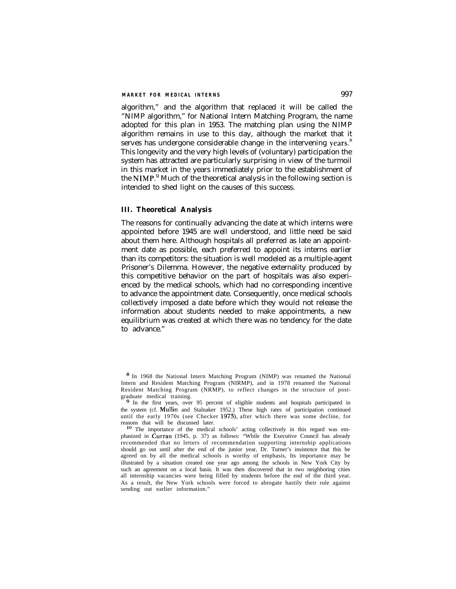algorithm," and the algorithm that replaced it will be called the "NIMP algorithm," for National Intern Matching Program, the name adopted for this plan in 1953. The matching plan using the NIMP algorithm remains in use to this day, although the market that it serves has undergone considerable change in the intervening years.<sup>8</sup> This longevity and the very high levels of (voluntary) participation the system has attracted are particularly surprising in view of the turmoil in this market in the years immediately prior to the establishment of the NIMP. $9$  Much of the theoretical analysis in the following section is intended to shed light on the causes of this success.

## **III. Theoretical Analysis**

The reasons for continually advancing the date at which interns were appointed before 1945 are well understood, and little need be said about them here. Although hospitals all preferred as late an appointment date as possible, each preferred to appoint its interns earlier than its competitors: the situation is well modeled as a multiple-agent Prisoner's Dilemma. However, the negative externality produced by this competitive behavior on the part of hospitals was also experienced by the medical schools, which had no corresponding incentive to advance the appointment date. Consequently, once medical schools collectively imposed a date before which they would not release the information about students needed to make appointments, a new equilibrium was created at which there was no tendency for the date to advance."

s In 1968 the National Intern Matching Program (NIMP) was renamed the National Intern and Resident Matching Program (NIRMP), and in 1978 renamed the National Resident Matching Program (NRMP), to reflect changes in the structure of postgraduate medical training.<br><sup>9</sup> In the first years, over 95 percent of eligible students and hospitals participated in

the system (cf. Mullin and Stalnaker 1952.) These high rates of participation continued until the early 1970s (see Checker 1973), after which there was some decline, for reasons that will be discussed later.

 $10$  The importance of the medical schools' acting collectively in this regard was emphasized in Curran (1945, p. 37) as follows: "While the Executive Council has already recommended that no letters of recommendation supporting internship applications should go out until after the end of the junior year, Dr. Turner's insistence that this be agreed on by all the medical schools is worthy of emphasis, Its importance may be illustrated by a situation created one year ago among the schools in New York City by such an agreement on a local basis. It was then discovered that in two neighboring cities all internship vacancies were being filled by students before the end of the third year. As a result, the New York schools were forced to abrogate hastily their rule against sending out earlier information."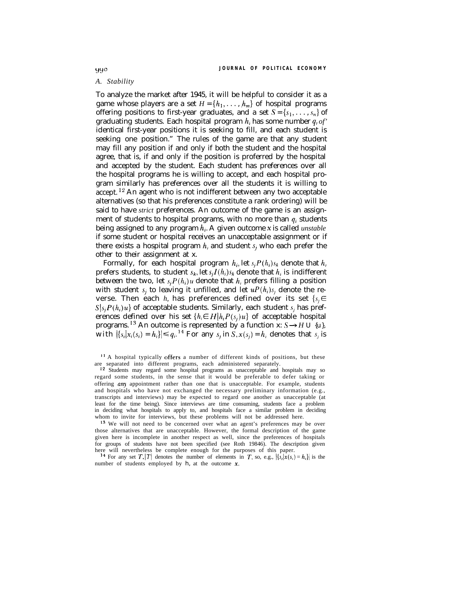## *A. Stability*

To analyze the market after 1945, it will be helpful to consider it as a game whose players are a set  $H = \{h_1, \ldots, h_m\}$  of hospital programs offering positions to first-year graduates, and a set  $S = \{s_1, \ldots, s_n\}$  of graduating students. Each hospital program  $h_i$  has some number  $q_i$  of identical first-year positions it is seeking to fill, and each student is seeking one position." The rules of the game are that any student may fill any position if and only if both the student and the hospital agree, that is, if and only if the position is proferred by the hospital and accepted by the student. Each student has preferences over all the hospital programs he is willing to accept, and each hospital program similarly has preferences over all the students it is willing to accept.  $^{12}$  An agent who is not indifferent between any two acceptable alternatives (so that his preferences constitute a rank ordering) will be said to have *strict* preferences. An outcome of the game is an assignment of students to hospital programs, with no more than  $q_i$  students being assigned to any program h,. A given outcome x is called *unstable* if some student or hospital receives an unacceptable assignment or if there exists a hospital program  $h_i$ , and student  $s_i$ , who each prefer the other to their assignment at x.

Formally, for each hospital program  $h_i$ , let  $s_j P(h_i) s_k$  denote that  $h_i$ prefers students, to student  $s_k$ , let  $s_i I(h_i)s_k$  denote that  $h_i$  is indifferent between the two, let  $s_i P(h_i)u$  denote that  $h_i$  prefers filling a position with student  $s_i$  to leaving it unfilled, and let  $uP(h_i)s_i$  denote the reverse. Then each *h*, has preferences defined over its set  $\{s_i \in$  $S|_{S_i}P(h_i)u$  of acceptable students. Similarly, each student  $s_i$  has preferences defined over his set  $\{h_i \in H | h_i P(s_i) u\}$  of acceptable hospital programs. <sup>13</sup> An outcome is represented by a function x:  $S \rightarrow H \cup \{u\}$ , with  $|\{s_i | x_i(s_i) = h_i\}| \le q_i$ , <sup>14</sup> For any  $s_j$  in  $S$ ,  $x(s_j) = h_i$  denotes that  $s_j$  is

*YYO*

<sup>&</sup>lt;sup>11</sup> A hospital typically offers a number of different kinds of positions, but these are separated into different programs, each administered separately.

<sup>&</sup>lt;sup>12</sup> Students may regard some hospital programs as unacceptable and hospitals may so regard some students, in the sense that it would be preferable to defer taking or offering  $any$  appointment rather than one that is unacceptable. For example, students and hospitals who have not exchanged the necessary preliminary information (e.g., transcripts and interviews) may be expected to regard one another as unacceptable (at least for the time being). Since interviews are time consuming, students face a problem in deciding what hospitals to apply to, and hospitals face a similar problem in deciding whom to invite for interviews, but these problems will not be addressed here.

<sup>&</sup>lt;sup>13</sup> We will not need to be concerned over what an agent's preferences may be over those alternatives that are unacceptable. However, the formal description of the game given here is incomplete in another respect as well, since the preferences of hospitals for groups of students have not been specified (see Roth 19846). The description given here will nevertheless be complete enough for the purposes of this paper.

<sup>&</sup>lt;sup>14</sup> For any set T, |T| denotes the number of elements in T, so, e.g.,  $|\{s_i | x(s_i) = h_i\}|$  is the number of students employed by *h*, at the outcome *x*.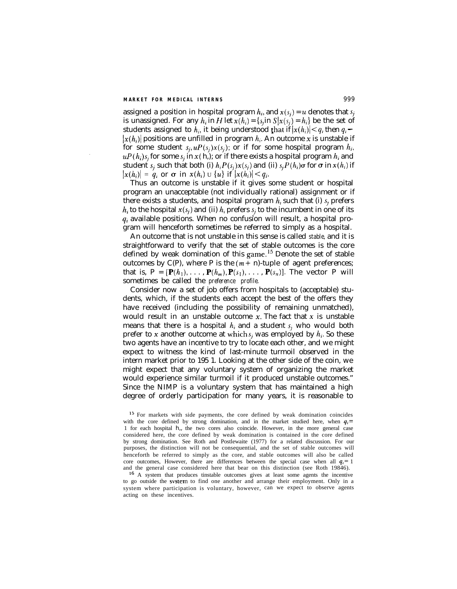assigned a position in hospital program  $h_i$ , and  $x(s_i) = u$  denotes that  $s_i$ is unassigned. For any  $h_i$  in H let  $x(h_i) = \{s_i \text{ in } S | x(s_i) = h_i\}$  be the set of students assigned to  $h_i$ , it being understood that if  $|x(h_i)| \leq q_i$  then  $q_i$  $|x(h_i)|$  positions are unfilled in program  $h_i$ . An outcome x is unstable if for some student  $s_i$ ,  $u P(s_i)x(s_i)$ ; or if for some hospital program  $h_i$ ,  $uP(h<sub>i</sub>)s<sub>i</sub>$  for some  $s<sub>i</sub>$  in  $x(h<sub>i</sub>)$ ; or if there exists a hospital program  $h<sub>i</sub>$  and student  $s_i$  such that both (i)  $h_i P(s_i) x(s_i)$  and (ii)  $s_i P(h_i) \sigma$  for  $\sigma$  in  $x(h_i)$  if  $|x(h_i)| = q_i$  or  $\sigma$  in  $x(h_i) \cup \{u\}$  if  $|x(h_i)| \leq q_i$ .

Thus an outcome is unstable if it gives some student or hospital program an unacceptable (not individually rational) assignment or if there exists a students, and hospital program  $h_i$  such that (i) s, prefers  $h_i$  to the hospital  $x(s_i)$  and (ii)  $h_i$  prefers  $s_i$  to the incumbent in one of its  $q_i$  available positions. When no confusion will result, a hospital program will henceforth sometimes be referred to simply as a hospital.

An outcome that is not unstable in this sense is called *stable,* and it is straightforward to verify that the set of stable outcomes is the core defined by weak domination of this game.<sup>15</sup> Denote the set of stable outcomes by C(P), where P is the  $(m + n)$ -tuple of agent preferences; that is,  $P = [\mathbf{P}(h_1), \ldots, \mathbf{P}(h_m), \mathbf{P}(s_1), \ldots, \mathbf{P}(s_n)]$ . The vector P will sometimes be called the *preference profile.*

Consider now a set of job offers from hospitals to (acceptable) students, which, if the students each accept the best of the offers they have received (including the possibility of remaining unmatched), would result in an unstable outcome  $x$ . The fact that  $x$  is unstable means that there is a hospital  $h_i$  and a student  $s_i$ , who would both prefer to x another outcome at which  $s_i$  was employed by  $h_i$ . So these two agents have an incentive to try to locate each other, and we might expect to witness the kind of last-minute turmoil observed in the intern market prior to 195 1. Looking at the other side of the coin, we might expect that any voluntary system of organizing the market would experience similar turmoil if it produced unstable outcomes." Since the NIMP is a voluntary system that has maintained a high degree of orderly participation for many years, it is reasonable to

 $15$  For markets with side payments, the core defined by weak domination coincides with the core defined by strong domination, and in the market studied here, when  $q_i =$ 1 for each hospital *h,,* the two cores also coincide. However, in the more general case considered here, the core defined by weak domination is contained in the core defined by strong domination. See Roth and Postlewaite (1977) for a related discussion. For our purposes, the distinction will not be consequential, and the set of stable outcomes will henceforth be referred to simply as the core, and stable outcomes will also be called core outcomes, However, there are differences between the special case when all  $q_i = 1$ and the general case considered here that bear on this distinction (see Roth 19846).

<sup>&</sup>lt;sup>16</sup> A system that produces tinstable outcomes gives at least some agents the incentive to go outside the svstem to find one another and arrange their employment. Only in a system where participation is voluntary, however, can we expect to observe agents acting on these incentives.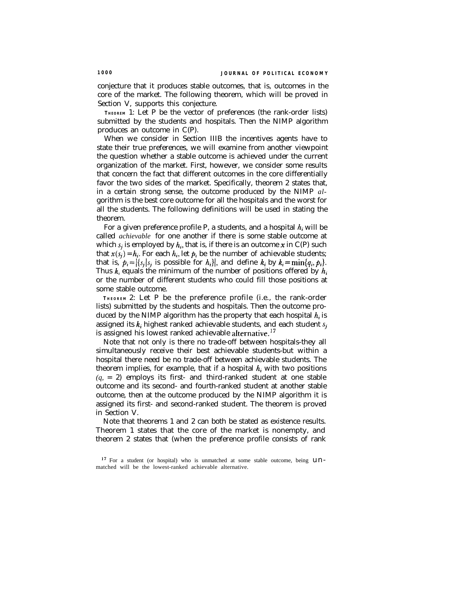conjecture that it produces stable outcomes, that is, outcomes in the core of the market. The following theorem, which will be proved in Section V, supports this conjecture.

**THEOREM** 1: Let P be the vector of preferences (the rank-order lists) submitted by the students and hospitals. Then the NIMP algorithm produces an outcome in C(P).

When we consider in Section IIIB the incentives agents have to state their true preferences, we will examine from another viewpoint the question whether a stable outcome is achieved under the current organization of the market. First, however, we consider some results that concern the fact that different outcomes in the core differentially favor the two sides of the market. Specifically, theorem 2 states that, in a certain strong sense, the outcome produced by the NIMP *al*gorithm is the best core outcome for all the hospitals and the worst for all the students. The following definitions will be used in stating the theorem.

For a given preference profile P, a students, and a hospital  $h_i$  will be called *achievable* for one another if there is some stable outcome at which  $s_i$  is employed by  $h_i$ , that is, if there is an outcome x in C(P) such that  $x(s_i) = h_i$ . For each  $h_i$ , let  $p_i$  be the number of achievable students; that is,  $p_i = |\{s_i | s_i \text{ is possible for } h_i\}|$ , and define  $k_i$  by  $k_i = \min\{q_i, p_i\}.$ Thus  $k_i$  equals the minimum of the number of positions offered by  $h_i$ or the number of different students who could fill those positions at some stable outcome.

THEOREM 2: Let P be the preference profile (i.e., the rank-order lists) submitted by the students and hospitals. Then the outcome produced by the NIMP algorithm has the property that each hospital  $h_i$  is assigned its  $k_i$ , highest ranked achievable students, and each student  $s_i$ is assigned his lowest ranked achievable alternative.<sup>17</sup>

Note that not only is there no trade-off between hospitals-they all simultaneously receive their best achievable students-but within a hospital there need be no trade-off between achievable students. The theorem implies, for example, that if a hospital  $h_i$  with two positions *(q,* = 2) employs its first- and third-ranked student at one stable outcome and its second- and fourth-ranked student at another stable outcome, then at the outcome produced by the NIMP algorithm it is assigned its first- and second-ranked student. The theorem is proved in Section V.

Note that theorems 1 and 2 can both be stated as existence results. Theorem 1 states that the core of the market is nonempty, and theorem 2 states that (when the preference profile consists of rank

<sup>&</sup>lt;sup>17</sup> For a student (or hospital) who is unmatched at some stable outcome, being  $\mathbf{u} \mathbf{n}$ matched will be the lowest-ranked achievable alternative.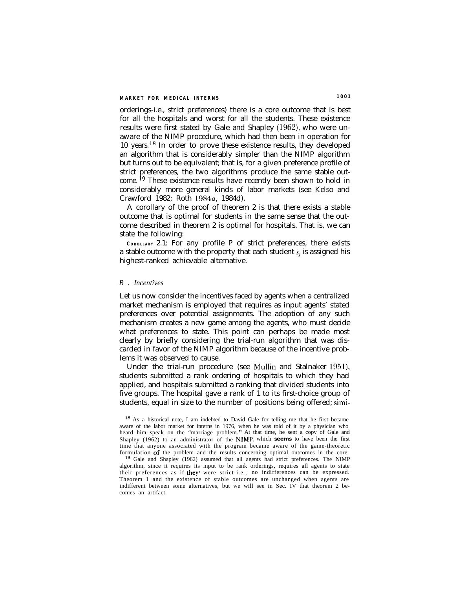orderings-i.e., strict preferences) there is a core outcome that is best for all the hospitals and worst for all the students. These existence results were first stated by Gale and Shapley (1962), who were unaware of the NIMP procedure, which had then been in operation for 10 years.  $18$  In order to prove these existence results, they developed an algorithm that is considerably simpler than the NIMP algorithm but turns out to be equivalent; that is, for a given preference profile of strict preferences, the two algorithms produce the same stable outcome. <sup>19</sup> These existence results have recently been shown to hold in considerably more general kinds of labor markets (see Kelso and Crawford 1982; Roth 1984a, 1984d).

A corollary of the proof of theorem 2 is that there exists a stable outcome that is optimal for students in the same sense that the outcome described in theorem 2 is optimal for hospitals. That is, we can state the following:

**COROLLARY** 2.1: For any profile P of strict preferences, there exists a stable outcome with the property that each student  $s_i$  is assigned his highest-ranked achievable alternative.

## *B . Incentives*

Let us now consider the incentives faced by agents when a centralized market mechanism is employed that requires as input agents' stated preferences over potential assignments. The adoption of any such mechanism creates a new game among the agents, who must decide what preferences to state. This point can perhaps be made most clearly by briefly considering the trial-run algorithm that was discarded in favor of the NIMP algorithm because of the incentive problems it was observed to cause.

Under the trial-run procedure (see Mullin and Stalnaker 1951), students submitted a rank ordering of hospitals to which they had applied, and hospitals submitted a ranking that divided students into five groups. The hospital gave a rank of 1 to its first-choice group of students, equal in size to the number of positions being offered; simi-

<sup>&</sup>lt;sup>18</sup> As a historical note, I am indebted to David Gale for telling me that he first became aware of the labor market for interns in 1976, when he was told of it by a physician who heard him speak on the "marriage problem." At that time, he sent a copy of Gale and Shapley (1962) to an administrator of the NIMP, which **seems** to have been the first time that anyone associated with the program became aware of the game-theoretic formulation of the problem and the results concerning optimal outcomes in the core.<br><sup>19</sup> Gale and Shanlay (1042) accuracies in the core.

Gale and Shapley (1962) assumed that all agents had strict preferences. The NIMP algorithm, since it requires its input to be rank orderings, requires all agents to state their preferences as if they' were strict-i.e., no indifferences can be expressed. Theorem 1 and the existence of stable outcomes are unchanged when agents are indifferent between some alternatives, but we will see in Sec. IV that theorem 2 becomes an artifact.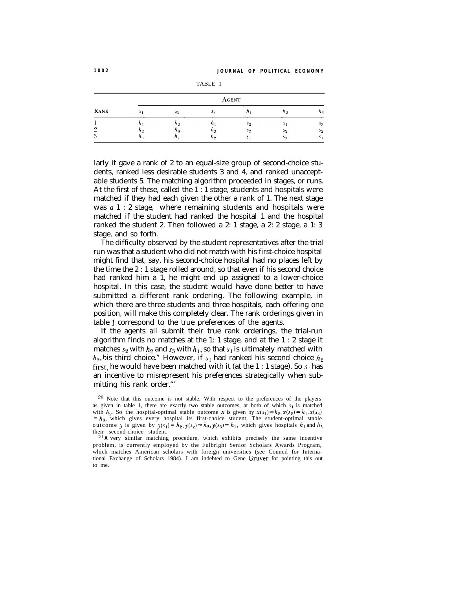| <b>RANK</b>    | <b>AGENT</b>   |                        |                  |               |       |                |  |  |
|----------------|----------------|------------------------|------------------|---------------|-------|----------------|--|--|
|                | $\mathcal{L}$  | $\mathcal{S}^{\Omega}$ | 5 <sub>9</sub>   | $\frac{1}{2}$ | nо    | $h_3$          |  |  |
|                | "              | $n_{\rm o}$            | $\boldsymbol{n}$ | $s_2$         | S1    | $s_3$          |  |  |
| $\overline{2}$ | n <sub>2</sub> | n 3                    | $n_3$            | $s_{3}$       | $s_2$ | $s_2$          |  |  |
| 3              | $n_3$          | $\mu$ .                | n,               | ъı            | $s_3$ | S <sub>1</sub> |  |  |

TABLE 1

larly it gave a rank of 2 to an equal-size group of second-choice students, ranked less desirable students 3 and 4, and ranked unacceptable students 5. The matching algorithm proceeded in stages, or runs. At the first of these, called the 1 : 1 stage, students and hospitals were matched if they had each given the other a rank of 1. The next stage was *a* 1 : 2 stage, where remaining students and hospitals were matched if the student had ranked the hospital 1 and the hospital ranked the student 2. Then followed a 2: 1 stage, a 2: 2 stage, a 1: 3 stage, and so forth.

The difficulty observed by the student representatives after the trial run was that a student who did not match with his first-choice hospital might find that, say, his second-choice hospital had no places left by the time the 2 : 1 stage rolled around, so that even if his second choice had ranked him a 1, he might end up assigned to a lower-choice hospital. In this case, the student would have done better to have submitted a different rank ordering. The following example, in which there are three students and three hospitals, each offering one position, will make this completely clear. The rank orderings given in table 1 correspond to the true preferences of the agents.

If the agents all submit their true rank orderings, the trial-run algorithm finds no matches at the 1: 1 stage, and at the 1 : 2 stage it matches  $s_2$  with  $h_2$  and  $s_3$  with  $h_1$ , so that  $s_1$  is ultimately matched with  $h_3$ , his third choice." However, if  $s_1$  had ranked his second choice  $h_2$ first, he would have been matched with it (at the 1 : 1 stage). So  $s_1$  has an incentive to misrepresent his preferences strategically when submitting his rank order."'

<sup>&</sup>lt;sup>20</sup> Note that this outcome is not stable. With respect to the preferences of the players as given in table 1, there are exactly two stable outcomes, at both of which  $s<sub>1</sub>$  is matched with  $h_2$ . So the hospital-optimal stable outcome x is given by  $x(s_1) = h_2$ ,  $x(s_2) = h_1$ ,  $x(s_3)$  $= h_3$ , which gives every hospital its first-choice student, The student-optimal stable outcome y is given by  $y(s_1) = h_2$ ,  $y(s_2) = h_3$ ,  $y(s_3) = h_1$ , which gives hospitals  $h_1$  and  $h_3$ their second-choice student.

<sup>&</sup>lt;sup>21</sup> A very similar matching procedure, which exhibits precisely the same incentive problem, is currently employed by the Fulbright Senior Scholars Awards Program, which matches American scholars with foreign universities (see Council for International Exchange of Scholars 1984). I am indebted to Gene Gruver for pointing this out to me.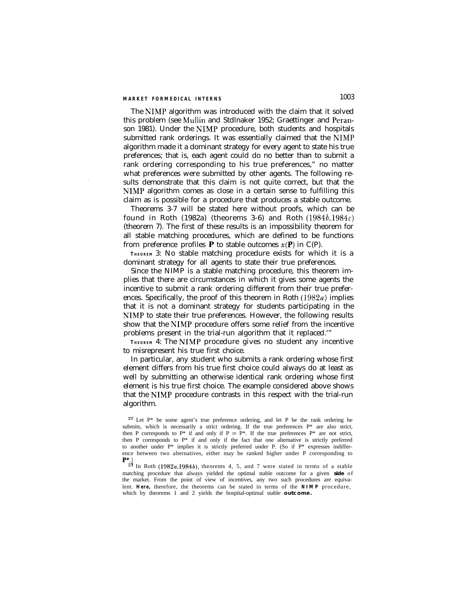The NIMP algorithm was introduced with the claim that it solved this problem (see Mullin and Stdlnaker 1952; Graettinger and Peranson 1981). Under the NIMP procedure, both students and hospitals submitted rank orderings. It was essentially claimed that the NIMP algorithm made it a dominant strategy for every agent to state his true preferences; that is, each agent could do no better than to submit a rank ordering corresponding to his true preferences," no matter what preferences were submitted by other agents. The following results demonstrate that this claim is not quite correct, but that the NIMP algorithm comes as close in a certain sense to fulfilling this claim as is possible for a procedure that produces a stable outcome.

Theorems 3-7 will be stated here without proofs, which can be found in Roth (1982a) (theorems 3-6) and Roth  $(1984b, 1984c)$ (theorem 7). The first of these results is an impossibility theorem for all stable matching procedures, which are defined to be functions from preference profiles **P** to stable outcomes  $x(P)$  in C(P).

THEOREM 3: No stable matching procedure exists for which it is a dominant strategy for all agents to state their true preferences.

Since the NIMP is a stable matching procedure, this theorem implies that there are circumstances in which it gives some agents the incentive to submit a rank ordering different from their true preferences. Specifically, the proof of this theorem in Roth  $(1982a)$  implies that it is not a dominant strategy for students participating in the NIMP to state their true preferences. However, the following results show that the NIMP procedure offers some relief from the incentive problems present in the trial-run algorithm that it replaced.'"

THEOREM 4: The NIMP procedure gives no student any incentive to misrepresent his true first choice.

In particular, any student who submits a rank ordering whose first element differs from his true first choice could always do at least as well by submitting an otherwise identical rank ordering whose first element is his true first choice. The example considered above shows that the NIMP procedure contrasts in this respect with the trial-run algorithm.

 $22$  Let P\* be some agent's true preference ordering, and let P be the rank ordering he submits, which is necessarily a strict ordering. If the true preferences  $P^*$  are also strict, then P corresponds to P\* if and only if  $P = P^*$ . If the true preferences P\* are not strict, then P corresponds to P\* if and only if the fact that one alternative is strictly preferred to another under P\* implies it is strictly preferred under P. (So if P\* expresses indifference between two alternatives, either may be ranked higher under P corresponding to P\*.)

<sup>&</sup>lt;sup>23</sup> In Roth  $(1982a, 1984b)$ , theorems 4, 5, and 7 were stated in terms of a stable matching procedure that always yielded the optimal stable outcome for a given **side** of the market. From the point of view of incentives, any two such procedures are equivalent. **Here,** therefore, the theorems can be stated in terms of the **NIMP** procedure, which by theorems 1 and 2 yields the hospital-optimal stable **outcome.**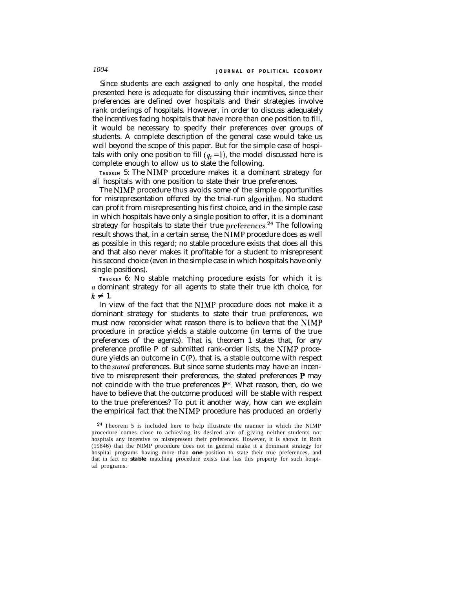Since students are each assigned to only one hospital, the model presented here is adequate for discussing their incentives, since their preferences are defined over hospitals and their strategies involve rank orderings of hospitals. However, in order to discuss adequately the incentives facing hospitals that have more than one position to fill, it would be necessary to specify their preferences over groups of students. A complete description of the general case would take us well beyond the scope of this paper. But for the simple case of hospitals with only one position to fill  $(q<sub>i</sub> = 1)$ , the model discussed here is complete enough to allow us to state the following.

THEOREM 5: The NIMP procedure makes it a dominant strategy for all hospitals with one position to state their true preferences.

The NIMP procedure thus avoids some of the simple opportunities for misrepresentation offered by the trial-run aIgorithm. No student can profit from misrepresenting his first choice, and in the simple case in which hospitals have only a single position to offer, it is a dominant strategy for hospitals to state their true preferences.<sup>24</sup> The following result shows that, in a certain sense, the NIMP procedure does as well as possible in this regard; no stable procedure exists that does all this and that also never makes it profitable for a student to misrepresent his second choice (even in the simple case in which hospitals have only single positions).

**THEOREM** 6: No stable matching procedure exists for which it is *a* dominant strategy for all agents to state their true kth choice, for  $k \neq 1$ .

In view of the fact that the NIMP procedure does not make it a dominant strategy for students to state their true preferences, we must now reconsider what reason there is to believe that the NIMP procedure in practice yields a stable outcome (in terms of the true preferences of the agents). That is, theorem 1 states that, for any preference profile P of submitted rank-order lists, the NIMP procedure yields an outcome in C(P), that is, a stable outcome with respect to the *stated* preferences. But since some students may have an incentive to misrepresent their preferences, the stated preferences  $P$  may not coincide with the true preferences  $P^*$ . What reason, then, do we have to believe that the outcome produced will be stable with respect to the true preferences? To put it another way, how can we explain the empirical fact that the NIMP procedure has produced an orderly

<sup>24</sup> Theorem 5 is included here to help illustrate the manner in which the NIMP procedure comes close to achieving its desired aim of giving neither students nor hospitals any incentive to misrepresent their preferences. However, it is shown in Roth (19846) that the NIMP procedure does not in general make it a dominant strategy for hospital programs having more than **one** position to state their true preferences, and that in fact no **stable** matching procedure exists that has this property for such hospital programs.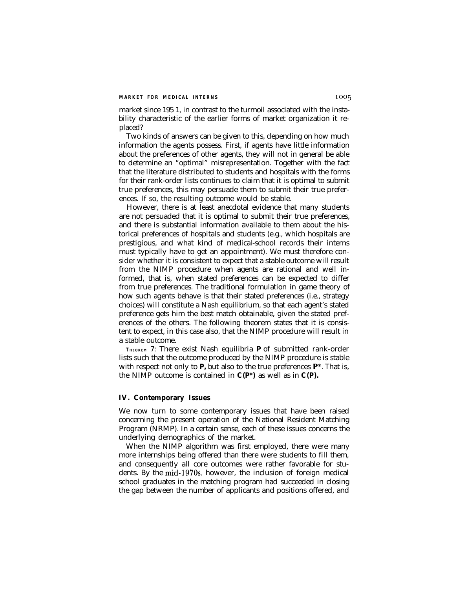market since 195 1, in contrast to the turmoil associated with the instability characteristic of the earlier forms of market organization it replaced?

Two kinds of answers can be given to this, depending on how much information the agents possess. First, if agents have little information about the preferences of other agents, they will not in general be able to determine an "optimal" misrepresentation. Together with the fact that the literature distributed to students and hospitals with the forms for their rank-order lists continues to claim that it is optimal to submit true preferences, this may persuade them to submit their true preferences. If so, the resulting outcome would be stable.

However, there is at least anecdotal evidence that many students are not persuaded that it is optimal to submit their true preferences, and there is substantial information available to them about the historical preferences of hospitals and students (e.g., which hospitals are prestigious, and what kind of medical-school records their interns must typically have to get an appointment). We must therefore consider whether it is consistent to expect that a stable outcome will result from the NIMP procedure when agents are rational and well informed, that is, when stated preferences can be expected to differ from true preferences. The traditional formulation in game theory of how such agents behave is that their stated preferences (i.e., strategy choices) will constitute a Nash equilibrium, so that each agent's stated preference gets him the best match obtainable, given the stated preferences of the others. The following theorem states that it is consistent to expect, in this case also, that the NIMP procedure will result in a stable outcome.

**<sup>T</sup>HEOREM** 7: There exist Nash equilibria **P** of submitted rank-order lists such that the outcome produced by the NIMP procedure is stable with respect not only to **P,** but also to the true preferences **P\*.** That is, the NIMP outcome is contained in **C(P\*)** as well as in **C(P).**

## **IV. Contemporary Issues**

We now turn to some contemporary issues that have been raised concerning the present operation of the National Resident Matching Program (NRMP). In a certain sense, each of these issues concerns the underlying demographics of the market.

When the NIMP algorithm was first employed, there were many more internships being offered than there were students to fill them, and consequently all core outcomes were rather favorable for students. By the mid-1970s, however, the inclusion of foreign medical school graduates in the matching program had succeeded in closing the gap between the number of applicants and positions offered, and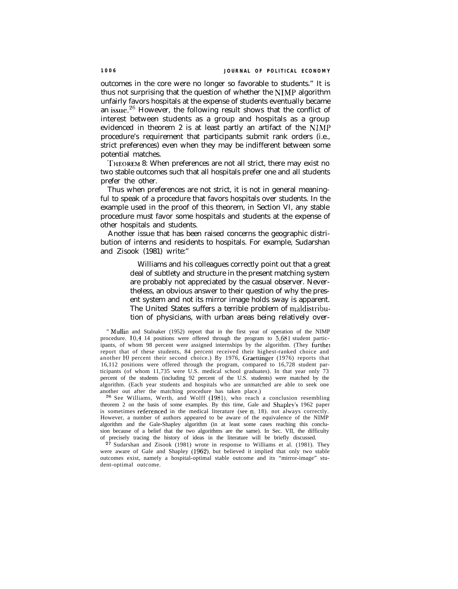outcomes in the core were no longer so favorable to students." It is thus not surprising that the question of whether the NIMP algorithm unfairly favors hospitals at the expense of students eventually became an issue. $26$  However, the following result shows that the conflict of interest between students as a group and hospitals as a group evidenced in theorem 2 is at least partly an artifact of the NIMP procedure's requirement that participants submit rank orders (i.e., strict preferences) even when they may be indifferent between some potential matches.

**'THEOREM** 8: When preferences are not all strict, there may exist no two stable outcomes such that all hospitals prefer one and all students prefer the other.

Thus when preferences are not strict, it is not in general meaningful to speak of a procedure that favors hospitals over students. In the example used in the proof of this theorem, in Section VI, any stable procedure must favor some hospitals and students at the expense of other hospitals and students.

Another issue that has been raised concerns the geographic distribution of interns and residents to hospitals. For example, Sudarshan and Zisook (1981) write:"

> Williams and his colleagues correctly point out that a great deal of subtlety and structure in the present matching system are probably not appreciated by the casual observer. Nevertheless, an obvious answer to their question of why the present system and not its mirror image holds sway is apparent. The United States suffers a terrible problem of maldistribution of physicians, with urban areas being relatively over-

" Mullin and Stalnaker (1952) report that in the first year of operation of the NIMP procedure.  $10,4$  14 positions were offered through the program to  $5,681$  student participants, of whom 98 percent were assigned internships by the algorithm. (They further report that of these students, 84 percent received their highest-ranked choice and another 10 percent their second choice.) By 1976, Graettinger (1976) reports that 16,112 positions were offered through the program, compared to 16,728 student participants (of whom 11,735 were U.S. medical school graduates). In that year only 73 percent of the students (including 92 percent of the U.S. students) were matched by the algorithm. (Each year students and hospitals who are unmatched are able to seek one another out after the matching procedure has taken place.)

<sup>26</sup> See Williams, Werth, and Wolff (1981), who reach a conclusion resembling theorem 2 on the basis of some examples. By this time, Gale and Shapley's 1962 paper is sometimes referenced in the medical literature (see  $n$ , 18). not always correctly. However, a number of authors appeared to be aware of the equivalence of the NIMP algorithm and the Gale-Shapley algorithm (in at least some cases reaching this conclusion because of a belief that the two algorithms are the same). In Sec. VII, the difficulty of precisely tracing the history of ideas in the literature will be briefly discussed.

 $27$  Sudarshan and Zisook (1981) wrote in response to Williams et al. (1981). They were aware of Gale and Shapley (1962), but believed it implied that only two stable outcomes exist, namely a hospital-optimal stable outcome and its "mirror-image" student-optimal outcome.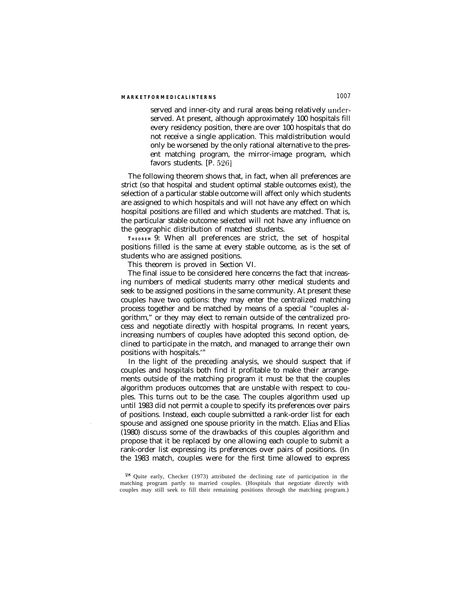served and inner-city and rural areas being relatively underserved. At present, although approximately 100 hospitals fill every residency position, there are over 100 hospitals that do not receive a single application. This maldistribution would only be worsened by the only rational alternative to the present matching program, the mirror-image program, which favors students. [P. 5261

The following theorem shows that, in fact, when all preferences are strict (so that hospital and student optimal stable outcomes exist), the selection of a particular stable outcome will affect only which students are assigned to which hospitals and will not have any effect on which hospital positions are filled and which students are matched. That is, the particular stable outcome selected will not have any influence on the geographic distribution of matched students.

THEOREM 9: When all preferences are strict, the set of hospital positions filled is the same at every stable outcome, as is the set of students who are assigned positions.

This theorem is proved in Section VI.

The final issue to be considered here concerns the fact that increasing numbers of medical students marry other medical students and seek to be assigned positions in the same community. At present these couples have two options: they may enter the centralized matching process together and be matched by means of a special "couples algorithm," or they may elect to remain outside of the centralized process and negotiate directly with hospital programs. In recent years, increasing numbers of couples have adopted this second option, declined to participate in the match, and managed to arrange their own positions with hospitals.'"

In the light of the preceding analysis, we should suspect that if couples and hospitals both find it profitable to make their arrangements outside of the matching program it must be that the couples algorithm produces outcomes that are unstable with respect to couples. This turns out to be the case. The couples algorithm used up until 1983 did not permit a couple to specify its preferences over pairs of positions. Instead, each couple submitted a rank-order list for each spouse and assigned one spouse priority in the match. Elias and Elias (1980) discuss some of the drawbacks of this couples algorithm and propose that it be replaced by one allowing each couple to submit a rank-order list expressing its preferences over pairs of positions. (In the 1983 match, couples were for the first time allowed to express

<sup>28</sup> Quite early, Checker (1973) attributed the declining rate of participation in the matching program partly to married couples. (Hospitals that negotiate directly with couples may still seek to fill their remaining positions through the matching program.)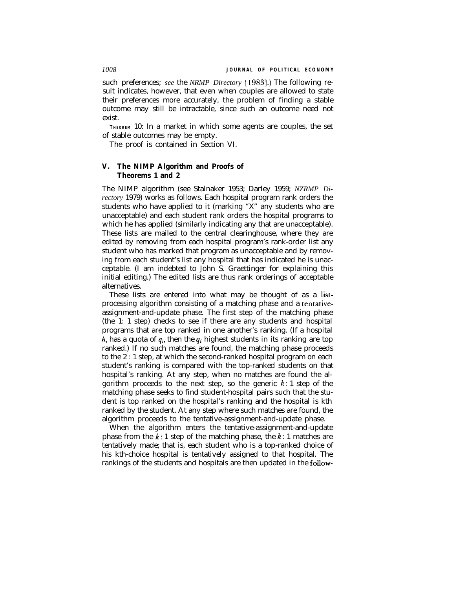such preferences; *see* the *NRMP Directory* [1983].) The following result indicates, however, that even when couples are allowed to state their preferences more accurately, the problem of finding a stable outcome may still be intractable, since such an outcome need not exist.

**THEOREM** 10: In a market in which some agents are couples, the set of stable outcomes may be empty.

The proof is contained in Section VI.

# **V. The NIMP Algorithm and Proofs of Theorems 1 and 2**

The NIMP algorithm (see Stalnaker 1953; Darley 1959; *NZRMP Directory* 1979) works as follows. Each hospital program rank orders the students who have applied to it (marking "X" any students who are unacceptable) and each student rank orders the hospital programs to which he has applied (similarly indicating any that are unacceptable). These lists are mailed to the central clearinghouse, where they are edited by removing from each hospital program's rank-order list any student who has marked that program as unacceptable and by removing from each student's list any hospital that has indicated he is unacceptable. (I am indebted to John S. Graettinger for explaining this initial editing.) The edited lists are thus rank orderings of acceptable alternatives.

These lists are entered into what may be thought of as a listprocessing algorithm consisting of a matching phase and a tentativeassignment-and-update phase. The first step of the matching phase (the 1: 1 step) checks to see if there are any students and hospital programs that are top ranked in one another's ranking. (If a hospital  $h_i$  has a quota of  $q_i$ , then the  $q_i$  highest students in its ranking are top ranked.) If no such matches are found, the matching phase proceeds to the 2 : 1 step, at which the second-ranked hospital program on each student's ranking is compared with the top-ranked students on that hospital's ranking. At any step, when no matches are found the algorithm proceeds to the next step, so the generic  $k: 1$  step of the matching phase seeks to find student-hospital pairs such that the student is top ranked on the hospital's ranking and the hospital is kth ranked by the student. At any step where such matches are found, the algorithm proceeds to the tentative-assignment-and-update phase.

When the algorithm enters the tentative-assignment-and-update phase from the  $k: 1$  step of the matching phase, the  $k: 1$  matches are tentatively made; that is, each student who is a top-ranked choice of his kth-choice hospital is tentatively assigned to that hospital. The rankings of the students and hospitals are then updated in the follow-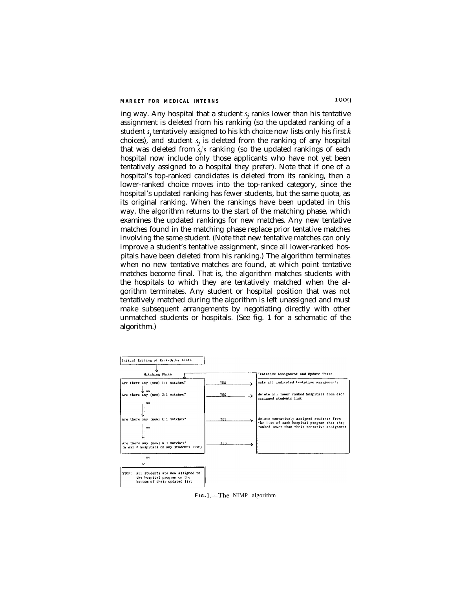ing way. Any hospital that a student  $s_i$  ranks lower than his tentative assignment is deleted from his ranking (so the updated ranking of a student  $s_i$  tentatively assigned to his kth choice now lists only his first  $k$ choices), and student  $s_i$  is deleted from the ranking of any hospital that was deleted from  $s_i$ 's ranking (so the updated rankings of each hospital now include only those applicants who have not yet been tentatively assigned to a hospital they prefer). Note that if one of a hospital's top-ranked candidates is deleted from its ranking, then a lower-ranked choice moves into the top-ranked category, since the hospital's updated ranking has fewer students, but the same quota, as its original ranking. When the rankings have been updated in this way, the algorithm returns to the start of the matching phase, which examines the updated rankings for new matches. Any new tentative matches found in the matching phase replace prior tentative matches involving the same student. (Note that new tentative matches can only improve a student's tentative assignment, since all lower-ranked hospitals have been deleted from his ranking.) The algorithm terminates when no new tentative matches are found, at which point tentative matches become final. That is, the algorithm matches students with the hospitals to which they are tentatively matched when the algorithm terminates. Any student or hospital position that was not tentatively matched during the algorithm is left unassigned and must make subsequent arrangements by negotiating directly with other unmatched students or hospitals. (See fig. 1 for a schematic of the algorithm.)



**<sup>F</sup>IG.** I.--The NIMP algorithm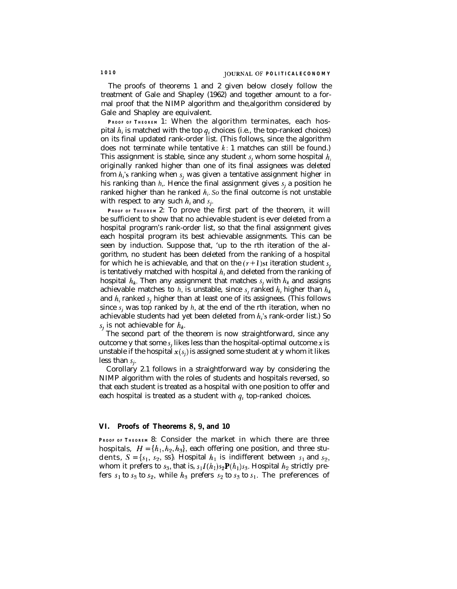The proofs of theorems 1 and 2 given below closely follow the treatment of Gale and Shapley (1962) and together amount to a formal proof that the NIMP algorithm and the,algorithm considered by Gale and Shapley are equivalent.

PROOF OF THEOREM 1: When the algorithm terminates, each hospital  $h_i$  is matched with the top  $q_i$  choices (i.e., the top-ranked choices) on its final updated rank-order list. (This follows, since the algorithm does not terminate while tentative  $k:1$  matches can still be found.) This assignment is stable, since any student  $s_i$ , whom some hospital  $h_i$ originally ranked higher than one of its final assignees was deleted from  $h_i$ 's ranking when  $s_i$  was given a tentative assignment higher in his ranking than  $h$ . Hence the final assignment gives  $s_i$  a position he ranked higher than he ranked  $h_i$ . So the final outcome is not unstable with respect to any such  $h_i$  and  $s_i$ .

PROOF OF THEOREM 2: To prove the first part of the theorem, it will be sufficient to show that no achievable student is ever deleted from a hospital program's rank-order list, so that the final assignment gives each hospital program its best achievable assignments. This can be seen by induction. Suppose that, 'up to the rth iteration of the algorithm, no student has been deleted from the ranking of a hospital for which he is achievable, and that on the  $(r+1)$ st iteration student s<sub>i</sub> is tentatively matched with hospital *h,* and deleted from the ranking of hospital  $h_k$ . Then any assignment that matches  $s_j$  with  $h_k$  and assigns achievable matches to *h*, is unstable, since  $s_i$  ranked  $h_i$  higher than  $h_k$ and  $h_i$  ranked  $s_j$  higher than at least one of its assignees. (This follows since  $s_i$  was top ranked by  $h$ , at the end of the rth iteration, when no achievable students had yet been deleted from *h,'s* rank-order list.) So  $s_i$  is not achievable for  $h_k$ .

The second part of the theorem is now straightforward, since any outcome y that some  $s_i$  likes less than the hospital-optimal outcome x is unstable if the hospital  $x(s_i)$  is assigned some student at y whom it likes less than  $s_i$ .

Corollary 2.1 follows in a straightforward way by considering the NIMP algorithm with the roles of students and hospitals reversed, so that each student is treated as a hospital with one position to offer and each hospital is treated as a student with  $q_i$  top-ranked choices.

### **VI. Proofs of Theorems 8,9, and 10**

**PROOF OF THEOREM 8:** Consider the market in which there are three hospitals,  $H = \{h_1, h_2, h_3\}$ , each offering one position, and three students,  $S = \{s_1, s_2, ss\}$ . Hospital  $h_1$  is indifferent between  $s_1$  and  $s_2$ , whom it prefers to  $s_3$ , that is,  $s_1I(h_1)s_2P(h_1)s_3$ . Hospital  $h_2$  strictly prefers  $s_1$  to  $s_3$  to  $s_2$ , while  $h_3$  prefers  $s_2$  to  $s_3$  to  $s_1$ . The preferences of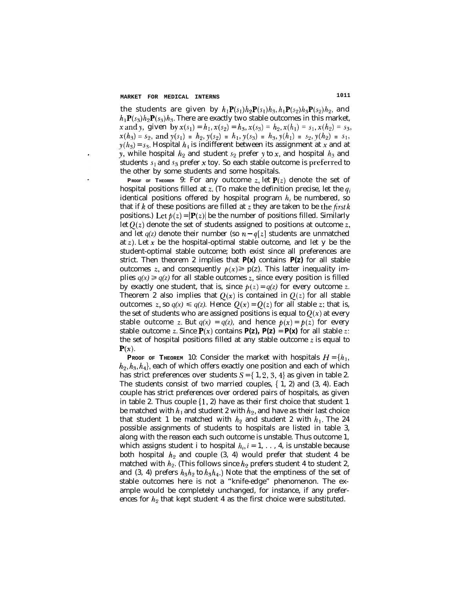the students are given by  $h_1 \mathbf{P}(s_1) h_2 \mathbf{P}(s_1) h_3$ ,  $h_1 \mathbf{P}(s_2) h_3 \mathbf{P}(s_2) h_2$ , and  $h_1 \mathbf{P}(s_3)h_2 \mathbf{P}(s_3)h_3$ . There are exactly two stable outcomes in this market, *x* and *y*, given by  $x(s_1) = h_1$ ,  $x(s_2) = h_3$ ,  $x(s_3) = h_2$ ,  $x(h_1) = s_1$ ,  $x(h_2) = s_3$ ,  $x(h_3) = s_2$ , and  $y(s_1) = h_2, y(s_2) = h_1, y(s_3) = h_3, y(h_1) = s_2, y(h_2) = s_1$  $y(h_3) = s_3$ . Hospital  $h_1$  is indifferent between its assignment at x and at y, while hospital  $h_2$  and student  $s_2$  prefer y to x, and hospital  $h_3$  and students  $s_1$  and  $s_3$  prefer x toy. So each stable outcome is preferred to the other by some students and some hospitals.

**PROOF OF THEOREM 9: For any outcome z, let**  $P(z)$  **denote the set of** hospital positions filled at z. (To make the definition precise, let the  $q_i$ identical positions offered by hospital program  $h_i$ , be numbered, so that if k of these positions are filled at z they are taken to be the first k positions.) Let  $p(z) = |P(z)|$  be the number of positions filled. Similarly let  $Q(z)$  denote the set of students assigned to positions at outcome z, and let  $q(z)$  denote their number (so  $n - q(z)$  students are unmatched at  $z$ ). Let  $x$  be the hospital-optimal stable outcome, and let  $y$  be the student-optimal stable outcome; both exist since all preferences are strict. Then theorem 2 implies that **P(x)** contains **P(z)** for all stable outcomes z, and consequently  $p(x) \geq p(z)$ . This latter inequality implies  $q(x) \geq q(z)$  for all stable outcomes z, since every position is filled by exactly one student, that is, since  $p(z) = q(z)$  for every outcome z. Theorem 2 also implies that  $Q(x)$  is contained in  $Q(z)$  for all stable outcomes z, so  $q(x) \leq q(z)$ . Hence  $Q(x) = Q(z)$  for all stable z; that is, the set of students who are assigned positions is equal to  $Q(x)$  at every stable outcome z. But  $q(x) = q(z)$ , and hence  $p(x) = p(z)$  for every stable outcome z. Since  $P(x)$  contains  $P(z)$ ,  $P(z) = P(x)$  for all stable z: the set of hospital positions filled at any stable outcome  $z$  is equal to  $P(x)$ .

**PROOF OF THEOREM 10: Consider the market with hospitals**  $H = \{h_1,$  $h_2, h_3, h_4$ , each of which offers exactly one position and each of which has strict preferences over students  $S = \{1, 2, 3, 4\}$  as given in table 2. The students consist of two married couples,  $\{1, 2\}$  and  $(3, 4)$ . Each couple has strict preferences over ordered pairs of hospitals, as given in table 2. Thus couple  $\{1, 2\}$  have as their first choice that student 1 be matched with  $h_1$  and student 2 with  $h_2$ , and have as their last choice that student 1 be matched with  $h_2$  and student 2 with  $h_1$ . The 24 possible assignments of students to hospitals are listed in table 3, along with the reason each such outcome is unstable. Thus outcome 1, which assigns student i to hospital  $h_i$ ,  $i = 1, \ldots, 4$ , is unstable because both hospital  $h_2$  and couple  $(3, 4)$  would prefer that student 4 be matched with  $h_2$ . (This follows since  $h_2$  prefers student 4 to student 2, and (3, 4) prefers  $h_3h_2$  to  $h_3h_4$ .) Note that the emptiness of the set of stable outcomes here is not a "knife-edge" phenomenon. The example would be completely unchanged, for instance, if any preferences for  $h_2$  that kept student 4 as the first choice were substituted.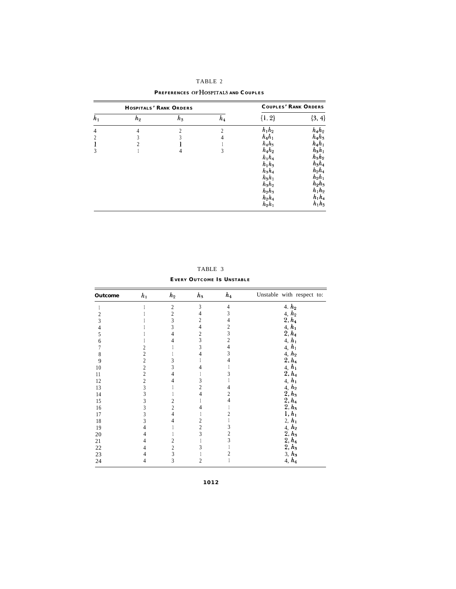| <b>HOSPITALS' RANK ORDERS</b> |                |       |       | <b>COUPLES' RANK ORDERS</b> |           |  |
|-------------------------------|----------------|-------|-------|-----------------------------|-----------|--|
| $h_1$                         | h <sub>2</sub> | $h_3$ | $h_4$ | $\{1, 2\}$                  | ${3, 4}$  |  |
| 4                             | 4              | 2     | C     | $h_1 h_2$                   | $h_4h_2$  |  |
| 2                             |                |       | 4     | $h_4h_1$                    | $h_4h_3$  |  |
|                               | 2              |       |       | $h_4h_3$                    | $h_4h_1$  |  |
| 3                             |                | 4     | 3     | $h_4h_2$                    | $h_3h_1$  |  |
|                               |                |       |       | $h_1 h_4$                   | $h_3h_2$  |  |
|                               |                |       |       | $h_1 h_2$                   | $h_3h_4$  |  |
|                               |                |       |       | $h_3h_4$                    | $h_2h_4$  |  |
|                               |                |       |       | $h_3h_1$                    | $h_2h_1$  |  |
|                               |                |       |       | $h_3h_2$                    | $h_2h_3$  |  |
|                               |                |       |       | $h_2h_3$                    | $h_1 h_2$ |  |
|                               |                |       |       | $h_2h_4$                    | $h_1 h_4$ |  |
|                               |                |       |       | $h_2h_1$                    | $h_1h_3$  |  |

TABLE 2 **PREFERENCES OF HOSPITALS AND COUPLES**

TABLE 3 **EVERY OUTCOME Is UNSTABLE**

| <b>Outcome</b> | $h_1$          | $h_2$          | $h_3$          | $h_4$ | Unstable with respect to:      |
|----------------|----------------|----------------|----------------|-------|--------------------------------|
|                |                | $\overline{2}$ | 3              | 4     | 4. $h_2$                       |
| 2              |                | 2              | 4              | 3     | 4, $h_2$                       |
| 3              |                | 3              | 2              | 4     | $2, h_4$                       |
| 4              |                | 3              | 4              | 2     | $4, h_1$                       |
| 5              |                | 4              | 2              | 3     | $2, h_4$                       |
| 6              |                |                | 3              | 2     | $4, h_1$                       |
|                |                |                | 3              | 4     | $4, h_1$                       |
| 8              |                |                |                | 3     | $4, h_2$                       |
| 9              |                | 3              |                | 4     | $2, h_4$                       |
| 10             | 2              | 3              |                |       | $4, h_1$                       |
| 11             | $\overline{c}$ |                |                |       | $2, h_4$                       |
| 12             | 2              |                |                |       | $4, h_1$                       |
| 13             | 3              |                |                |       | $\frac{4}{2}, \frac{h_2}{h_3}$ |
| 14             | 3              |                |                | 2     |                                |
| 15             | 3              |                |                |       | $2, h_4$                       |
| 16             |                | 2              |                |       | $2, h_3$                       |
| 17             |                |                |                | 2     | l, h <sub>1</sub>              |
| 18             |                |                | 2              |       | $2, h_1$                       |
| 19             |                |                | $\overline{c}$ | 3     | $4, h_2$                       |
| 20             |                |                | 3              | 2     | $2, h_3$                       |
| 21             |                |                |                | 3     | $2, h_4$                       |
| 22             |                | 2              |                |       | $2, h_3$                       |
| 23             |                | 3              |                |       | $3, h_3$                       |
| 24             |                | 3              |                |       | $4, h_4$                       |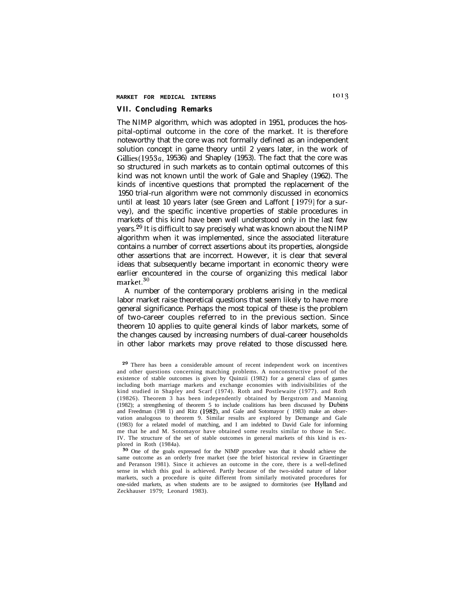## **VII. Concluding Remarks**

The NIMP algorithm, which was adopted in 1951, produces the hospital-optimal outcome in the core of the market. It is therefore noteworthy that the core was not formally defined as an independent solution concept in game theory until 2 years later, in the work of Gillies (1953 $a$ , 19536) and Shapley (1953). The fact that the core was so structured in such markets as to contain optimal outcomes of this kind was not known until the work of Gale and Shapley (1962). The kinds of incentive questions that prompted the replacement of the 1950 trial-run algorithm were not commonly discussed in economics until at least 10 years later (see Green and Laffont [ 1979] for a survey), and the specific incentive properties of stable procedures in markets of this kind have been well understood only in the last few years.<sup>29</sup> It is difficult to say precisely what was known about the NIMP algorithm when it was implemented, since the associated literature contains a number of correct assertions about its properties, alongside other assertions that are incorrect. However, it is clear that several ideas that subsequently became important in economic theory were earlier encountered in the course of organizing this medical labor market.30

A number of the contemporary problems arising in the medical labor market raise theoretical questions that seem likely to have more general significance. Perhaps the most topical of these is the problem of two-career couples referred to in the previous section. Since theorem 10 applies to quite general kinds of labor markets, some of the changes caused by increasing numbers of dual-career households in other labor markets may prove related to those discussed here.

<sup>&</sup>lt;sup>29</sup> There has been a considerable amount of recent independent work on incentives and other questions concerning matching problems. A nonconstructive proof of the existence of stable outcomes is given by Quinzii (1982) for a general class of games including both marriage markets and exchange economies with indivisibilities of the kind studied in Shapley and Scarf (1974). Roth and Postlewaite (1977). and Roth (19826). Theorem 3 has been independently obtained by Bergstrom and Manning (1982); a strengthening of theorem 5 to include coalitions has been discussed by Dubins and Freedman (198 1) and Ritz (1982), and Gale and Sotomayor ( 1983) make an observation analogous to theorem 9. Similar results are explored by Demange and Gale (1983) for a related model of matching, and I am indebted to David Gale for informing me that he and M. Sotomayor have obtained some results similar to those in Sec. IV. The structure of the set of stable outcomes in general markets of this kind is explored in Roth (1984a).

<sup>&</sup>lt;sup>30</sup> One of the goals expressed for the NIMP procedure was that it should achieve the same outcome as an orderly free market (see the brief historical review in Graettinger and Peranson 1981). Since it achieves an outcome in the core, there is a well-defined sense in which this goal is achieved. Partly because of the two-sided nature of labor markets, such a procedure is quite different from similarly motivated procedures for one-sided markets, as when students are to be assigned to dormitories (see Hylland and Zeckhauser 1979; Leonard 1983).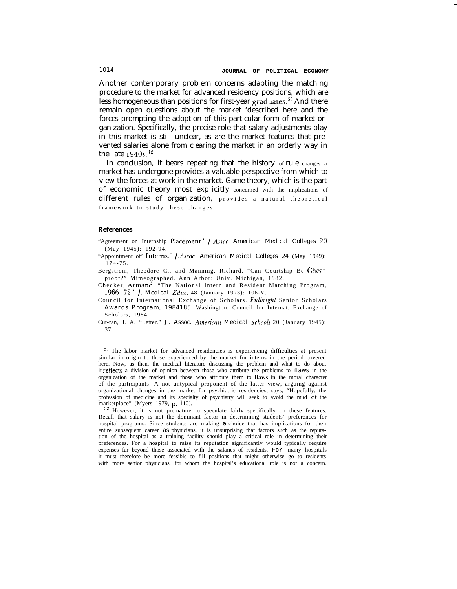Another contemporary problem concerns adapting the matching procedure to the market for advanced residency positions, which are less homogeneous than positions for first-year graduates.<sup>31</sup> And there remain open questions about the market 'described here and the forces prompting the adoption of this particular form of market organization. Specifically, the precise role that salary adjustments play in this market is still unclear, as are the market features that prevented salaries alone from clearing the market in an orderly way in the late  $1940s.^{32}$ 

In conclusion, it bears repeating that the history of rule changes a market has undergone provides a valuable perspective from which to view the forces at work in the market. Game theory, which is the part of economic theory most explicitly concerned with the implications of different rules of organization, provides a natural theoretical framework to study these changes.

#### **References**

- "Agreement on Internship Placement." *J. Assoc. American Medical Colleges* 20 (May 1945): 192-94.
- "Appointment of' Interns." *J. Assoc. American Medical Colleges 24* (May 1949): 174-75 .
- Bergstrom, Theodore C., and Manning, Richard. "Can Courtship Be Cheatproof?" Mimeographed. Ann Arbor: Univ. Michigan, 1982.
- Checker, Armand. "The National Intern and Resident Matching Program, 1966-72."J. *Medical Educ.* 48 (January 1973): 106-Y.
- Council for International Exchange of Scholars. Fulbright Senior Scholars *Awards Program, 1984185.* Washington: Council for Internat. Exchange of Scholars, 1984.
- Cut-ran, J. A. "Letter." *J. Assoc. American Medical Schools* 20 (January 1945): 37.

<sup>31</sup> The labor market for advanced residencies is experiencing difficulties at present similar in origin to those experienced by the market for interns in the period covered here. Now, as then, the medical literature discussing the problem and what to do about it reHects a division of opinion between those who attribute the problems to *flaws* in the organization of the market and those who attribute them to flaws in the moral character of the participants. A not untypical proponent of the latter view, arguing against organizational changes in the market for psychiatric residencies, says, "Hopefully, the profession of medicine and its specialty of psychiatry will seek to avoid the mud of the marketplace" (Myers 1979, p. 110).

<sup>32</sup> However, it is not premature to speculate fairly specifically on these features. Recall that salary is not the dominant factor in determining students' preferences for hospital programs. Since students are making *a* choice that has implications for their entire subsequent career *as* physicians, it is unsurprising that factors such as the reputation of the hospital as a training facility should play a critical role in determining their preferences. For a hospital to raise its reputation significantly would typically require expenses far beyond those associated with the salaries of residents. **For** many hospitals it must therefore be more feasible to fill positions that might otherwise go to residents with more senior physicians, for whom the hospital's educational role is not a concern.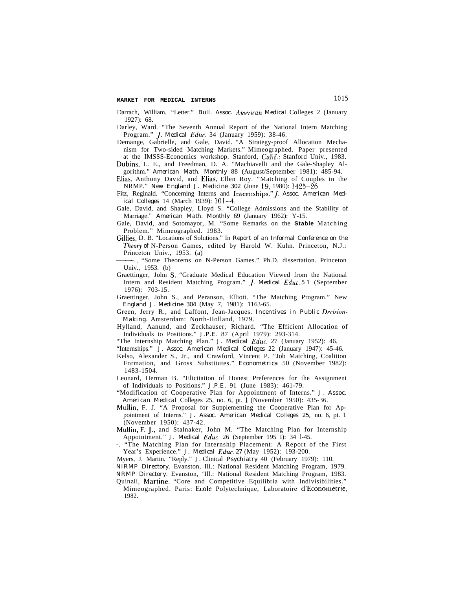- Darrach, William. "Letter." *Bull. Assoc. Americun Medical* Colleges 2 (January 1927): 68.
- Darley, Ward. "The Seventh Annual Report of the National Intern Matching Program." *J. Medical Educ.* 34 (January 1959): 38-46.
- Demange, Gabrielle, and Gale, David. "A Strategy-proof Allocation Mechanism for Two-sided Matching Markets." Mimeographed. Paper presented at the IMSSS-Economics workshop. Stanford, Calif.: Stanford Univ., 1983.
- Dubins, L. E., and Freedman, D. A. "Machiavelli and the Gale-Shapley Algorithm." *American Math. Monthly* 88 (August/September 1981): 485-94.
- Elias, Anthony David, and Elias, Ellen Roy. "Matching of Couples in the NRMP." *New England J. Medicine 302* (June 19, 1980): 1425-26.
- Fitz, Reginald. "Concerning Interns and Internships."J. *Assoc. American Medical Colleges* 14 (March 1939): 101-4.
- Gale, David, and Shapley, Lloyd S. "College Admissions and the Stability of Marriage." *American Math. Monthly* 69 (January 1962): Y-15.
- Gale, David, and Sotomayor, M. "Some Remarks on the **Stable** Matching Problem." Mimeographed. 1983.
- Gillies, D. B. "Locations of Solutions." In *Report of an Informal Conference on the*<br> *Theory of* N-Person Games, edited by Harold W. Kuhn. Princeton, N.J.:<br>
Princeton Univ., 1953. (a)<br>
-.................................. *Theory of N-Person Games, edited by Harold W. Kuhn. Princeton, N.J.*: Princeton Univ., 1953. (a)<br>
- "Some Theorems on N-Person Games." Ph.D. dissertation. Princeton
- Univ., 1953. (b)
- Graettinger, John S. "Graduate Medical Education Viewed from the National Intern and Resident Matching Program." *J. Medical Educ. 5* 1 (September 1976): 703-15.
- Graettinger, John S., and Peranson, Elliott. "The Matching Program." New *England J. Medicine 304* (May 7, 1981): 1163-65.
- Green, Jerry R., and Laffont, Jean-Jacques. *Incentives in Public Decision-Making.* Amsterdam: North-Holland, 1979.
- Hylland, Aanund, and Zeckhauser, Richard. "The Efficient Allocation of Individuals to Positions." *J.P.E.* 87 (April 1979): 293-314.
- "The Internship Matching Plan." *J. Medical Educ.* 27 (January 1952): 46.
- "Internships." *J. Assoc. American Medical Colleges* 22 (January 1947): 45-46.
- Kelso, Alexander S., Jr., and Crawford, Vincent P. "Job Matching, Coalition Formation, and Gross Substitutes." *Econometrica* 50 (November 1982): 1483-1504.
- Leonard, Herman B. "Elicitation of Honest Preferences for the Assignment of Individuals to Positions." *J.P.E.* 91 (June 1983): 461-79.
- "Modification of Cooperative Plan for Appointment of Interns." *J. Assoc. American Medical* Colleges 25, no. 6, pt. 1 (November 1950): 435-36.
- Mullin, F. J. "A Proposal for Supplementing the Cooperative Plan for Appointment of Interns." *J. Assoc. American Medical Colleges 25,* no. 6, pt. 1 (November 1950): 437-42.
- Mullin, F. J., and Stalnaker, John M. "The Matching Plan for Internship Appointment." *J. Medical Educ.* 26 (September 195 I): 34 l-45.
- -. "The Matching Plan for Internship Placement: A Report of the First Year's Experience." *J. Medical Educ. 27* (May 1952): 193-200.
- Myers, J. Martin. "Reply." *J.* Clinical *Psychiatry* 40 (February 1979): 110.
- *NIRMP Directory.* Evanston, Ill.: National Resident Matching Program, 1979.
- *NRMP Directory.* Evanston, 'Ill.: National Resident Matching Program, 1983.
- Quinzii, Martine. "Core and Competitive Equilibria with Indivisibilities." Mimeographed. Paris: Ecole Polytechnique, Laboratoire d'Econometrie, 1982.